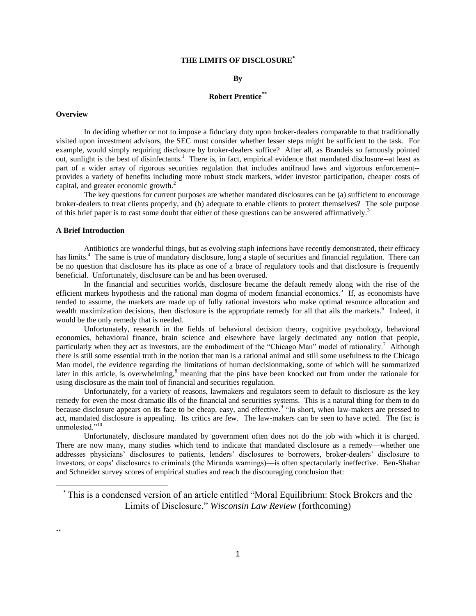# **THE LIMITS OF DISCLOSURE\***

## **By**

#### **Robert Prentice\*\***

#### **Overview**

In deciding whether or not to impose a fiduciary duty upon broker-dealers comparable to that traditionally visited upon investment advisors, the SEC must consider whether lesser steps might be sufficient to the task. For example, would simply requiring disclosure by broker-dealers suffice? After all, as Brandeis so famously pointed out, sunlight is the best of disinfectants.<sup>1</sup> There is, in fact, empirical evidence that mandated disclosure--at least as part of a wider array of rigorous securities regulation that includes antifraud laws and vigorous enforcement- provides a variety of benefits including more robust stock markets, wider investor participation, cheaper costs of capital, and greater economic growth.<sup>2</sup>

The key questions for current purposes are whether mandated disclosures can be (a) sufficient to encourage broker-dealers to treat clients properly, and (b) adequate to enable clients to protect themselves? The sole purpose of this brief paper is to cast some doubt that either of these questions can be answered affirmatively.<sup>3</sup>

## **A Brief Introduction**

Antibiotics are wonderful things, but as evolving staph infections have recently demonstrated, their efficacy has limits.<sup>4</sup> The same is true of mandatory disclosure, long a staple of securities and financial regulation. There can be no question that disclosure has its place as one of a brace of regulatory tools and that disclosure is frequently beneficial. Unfortunately, disclosure can be and has been overused.

In the financial and securities worlds, disclosure became the default remedy along with the rise of the efficient markets hypothesis and the rational man dogma of modern financial economics.<sup>5</sup> If, as economists have tended to assume, the markets are made up of fully rational investors who make optimal resource allocation and wealth maximization decisions, then disclosure is the appropriate remedy for all that ails the markets.<sup>6</sup> Indeed, it would be the only remedy that is needed.

Unfortunately, research in the fields of behavioral decision theory, cognitive psychology, behavioral economics, behavioral finance, brain science and elsewhere have largely decimated any notion that people, particularly when they act as investors, are the embodiment of the "Chicago Man" model of rationality.<sup>7</sup> Although there is still some essential truth in the notion that man is a rational animal and still some usefulness to the Chicago Man model, the evidence regarding the limitations of human decisionmaking, some of which will be summarized later in this article, is overwhelming,<sup>8</sup> meaning that the pins have been knocked out from under the rationale for using disclosure as the main tool of financial and securities regulation.

Unfortunately, for a variety of reasons, lawmakers and regulators seem to default to disclosure as the key remedy for even the most dramatic ills of the financial and securities systems. This is a natural thing for them to do because disclosure appears on its face to be cheap, easy, and effective.<sup>9</sup> "In short, when law-makers are pressed to act, mandated disclosure is appealing. Its critics are few. The law-makers can be seen to have acted. The fisc is unmolested."<sup>10</sup>

Unfortunately, disclosure mandated by government often does not do the job with which it is charged. There are now many, many studies which tend to indicate that mandated disclosure as a remedy—whether one addresses physicians' disclosures to patients, lenders' disclosures to borrowers, broker-dealers' disclosure to investors, or cops' disclosures to criminals (the Miranda warnings)—is often spectacularly ineffective. Ben-Shahar and Schneider survey scores of empirical studies and reach the discouraging conclusion that:

 $\overline{a}$ 

<sup>\*</sup> This is a condensed version of an article entitled "Moral Equilibrium: Stock Brokers and the Limits of Disclosure," *Wisconsin Law Review* (forthcoming)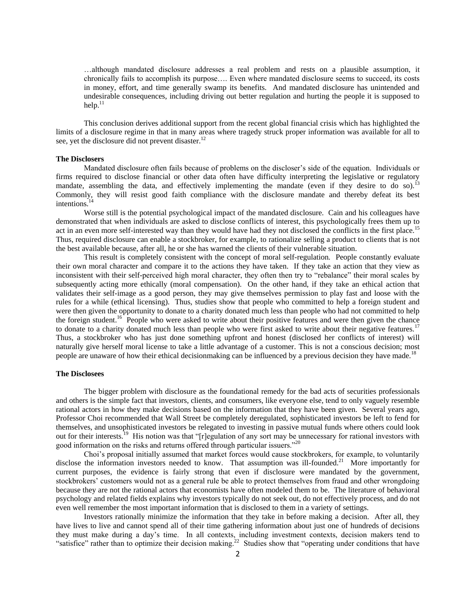…although mandated disclosure addresses a real problem and rests on a plausible assumption, it chronically fails to accomplish its purpose…. Even where mandated disclosure seems to succeed, its costs in money, effort, and time generally swamp its benefits. And mandated disclosure has unintended and undesirable consequences, including driving out better regulation and hurting the people it is supposed to  $h$ elp. $11$ 

This conclusion derives additional support from the recent global financial crisis which has highlighted the limits of a disclosure regime in that in many areas where tragedy struck proper information was available for all to see, yet the disclosure did not prevent disaster.<sup>12</sup>

# **The Disclosers**

Mandated disclosure often fails because of problems on the discloser's side of the equation. Individuals or firms required to disclose financial or other data often have difficulty interpreting the legislative or regulatory mandate, assembling the data, and effectively implementing the mandate (even if they desire to do so).<sup>13</sup> Commonly, they will resist good faith compliance with the disclosure mandate and thereby defeat its best intentions.<sup>14</sup>

Worse still is the potential psychological impact of the mandated disclosure. Cain and his colleagues have demonstrated that when individuals are asked to disclose conflicts of interest, this psychologically frees them up to act in an even more self-interested way than they would have had they not disclosed the conflicts in the first place.<sup>15</sup> Thus, required disclosure can enable a stockbroker, for example, to rationalize selling a product to clients that is not the best available because, after all, he or she has warned the clients of their vulnerable situation.

This result is completely consistent with the concept of moral self-regulation*.* People constantly evaluate their own moral character and compare it to the actions they have taken. If they take an action that they view as inconsistent with their self-perceived high moral character, they often then try to "rebalance" their moral scales by subsequently acting more ethically (moral compensation). On the other hand, if they take an ethical action that validates their self-image as a good person, they may give themselves permission to play fast and loose with the rules for a while (ethical licensing). Thus, studies show that people who committed to help a foreign student and were then given the opportunity to donate to a charity donated much less than people who had not committed to help the foreign student.<sup>16</sup> People who were asked to write about their positive features and were then given the chance to donate to a charity donated much less than people who were first asked to write about their negative features.<sup>17</sup> Thus, a stockbroker who has just done something upfront and honest (disclosed her conflicts of interest) will naturally give herself moral license to take a little advantage of a customer. This is not a conscious decision; most people are unaware of how their ethical decisionmaking can be influenced by a previous decision they have made.<sup>18</sup>

#### **The Disclosees**

The bigger problem with disclosure as the foundational remedy for the bad acts of securities professionals and others is the simple fact that investors, clients, and consumers, like everyone else, tend to only vaguely resemble rational actors in how they make decisions based on the information that they have been given. Several years ago, Professor Choi recommended that Wall Street be completely deregulated, sophisticated investors be left to fend for themselves, and unsophisticated investors be relegated to investing in passive mutual funds where others could look out for their interests.<sup>19</sup> His notion was that "[r]egulation of any sort may be unnecessary for rational investors with good information on the risks and returns offered through particular issuers."<sup>20</sup>

Choi's proposal initially assumed that market forces would cause stockbrokers, for example, to voluntarily disclose the information investors needed to know. That assumption was ill-founded.<sup>21</sup> More importantly for current purposes, the evidence is fairly strong that even if disclosure were mandated by the government, stockbrokers' customers would not as a general rule be able to protect themselves from fraud and other wrongdoing because they are not the rational actors that economists have often modeled them to be. The literature of behavioral psychology and related fields explains why investors typically do not seek out, do not effectively process, and do not even well remember the most important information that is disclosed to them in a variety of settings.

Investors rationally minimize the information that they take in before making a decision. After all, they have lives to live and cannot spend all of their time gathering information about just one of hundreds of decisions they must make during a day's time. In all contexts, including investment contexts, decision makers tend to "satisfice" rather than to optimize their decision making. $22$  Studies show that "operating under conditions that have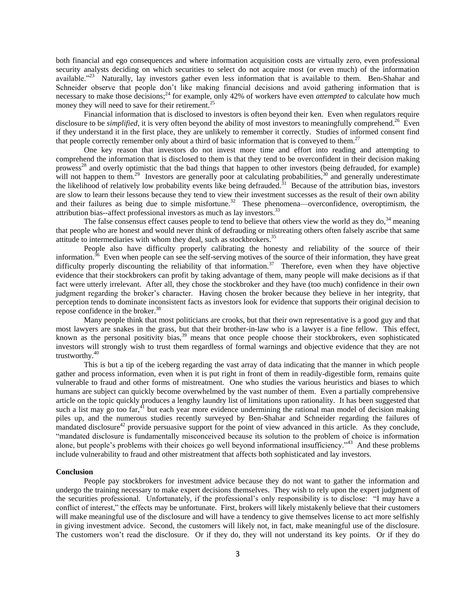both financial and ego consequences and where information acquisition costs are virtually zero, even professional security analysts deciding on which securities to select do not acquire most (or even much) of the information available."<sup>23</sup> Naturally, lay investors gather even less information that is available to them. Ben-Shahar and Schneider observe that people don't like making financial decisions and avoid gathering information that is necessary to make those decisions;<sup>24</sup> for example, only 42% of workers have even *attempted* to calculate how much money they will need to save for their retirement.<sup>2</sup>

Financial information that is disclosed to investors is often beyond their ken. Even when regulators require disclosure to be *simplified*, it is very often beyond the ability of most investors to meaningfully comprehend.<sup>26</sup> Even if they understand it in the first place, they are unlikely to remember it correctly. Studies of informed consent find that people correctly remember only about a third of basic information that is conveyed to them.<sup>27</sup>

One key reason that investors do not invest more time and effort into reading and attempting to comprehend the information that is disclosed to them is that they tend to be overconfident in their decision making prowess<sup>28</sup> and overly optimistic that the bad things that happen to other investors (being defrauded, for example) will not happen to them.<sup>29</sup> Investors are generally poor at calculating probabilities,<sup>30</sup> and generally underestimate the likelihood of relatively low probability events like being defrauded.<sup>31</sup> Because of the attribution bias, investors are slow to learn their lessons because they tend to view their investment successes as the result of their own ability and their failures as being due to simple misfortune.<sup>32</sup> These phenomena—overconfidence, overoptimism, the attribution bias--affect professional investors as much as lay investors.<sup>33</sup>

The false consensus effect causes people to tend to believe that others view the world as they do,  $34$  meaning that people who are honest and would never think of defrauding or mistreating others often falsely ascribe that same attitude to intermediaries with whom they deal, such as stockbrokers.<sup>35</sup>

People also have difficulty properly calibrating the honesty and reliability of the source of their information.<sup>36</sup> Even when people can see the self-serving motives of the source of their information, they have great difficulty properly discounting the reliability of that information.<sup>37</sup> Therefore, even when they have objective evidence that their stockbrokers can profit by taking advantage of them, many people will make decisions as if that fact were utterly irrelevant. After all, they chose the stockbroker and they have (too much) confidence in their own judgment regarding the broker's character. Having chosen the broker because they believe in her integrity, that perception tends to dominate inconsistent facts as investors look for evidence that supports their original decision to repose confidence in the broker.<sup>38</sup>

Many people think that most politicians are crooks, but that their own representative is a good guy and that most lawyers are snakes in the grass, but that their brother-in-law who is a lawyer is a fine fellow. This effect, known as the personal positivity bias,<sup>39</sup> means that once people choose their stockbrokers, even sophisticated investors will strongly wish to trust them regardless of formal warnings and objective evidence that they are not trustworthy.<sup>40</sup>

This is but a tip of the iceberg regarding the vast array of data indicating that the manner in which people gather and process information, even when it is put right in front of them in readily-digestible form, remains quite vulnerable to fraud and other forms of mistreatment. One who studies the various heuristics and biases to which humans are subject can quickly become overwhelmed by the vast number of them. Even a partially comprehensive article on the topic quickly produces a lengthy laundry list of limitations upon rationality. It has been suggested that such a list may go too far,<sup>41</sup> but each year more evidence undermining the rational man model of decision making piles up, and the numerous studies recently surveyed by Ben-Shahar and Schneider regarding the failures of mandated disclosure<sup>42</sup> provide persuasive support for the point of view advanced in this article. As they conclude, "mandated disclosure is fundamentally misconceived because its solution to the problem of choice is information alone, but people's problems with their choices go well beyond informational insufficiency."<sup>43</sup> And these problems include vulnerability to fraud and other mistreatment that affects both sophisticated and lay investors.

#### **Conclusion**

People pay stockbrokers for investment advice because they do not want to gather the information and undergo the training necessary to make expert decisions themselves. They wish to rely upon the expert judgment of the securities professional. Unfortunately, if the professional's only responsibility is to disclose: "I may have a conflict of interest," the effects may be unfortunate. First, brokers will likely mistakenly believe that their customers will make meaningful use of the disclosure and will have a tendency to give themselves license to act more selfishly in giving investment advice. Second, the customers will likely not, in fact, make meaningful use of the disclosure. The customers won't read the disclosure. Or if they do, they will not understand its key points. Or if they do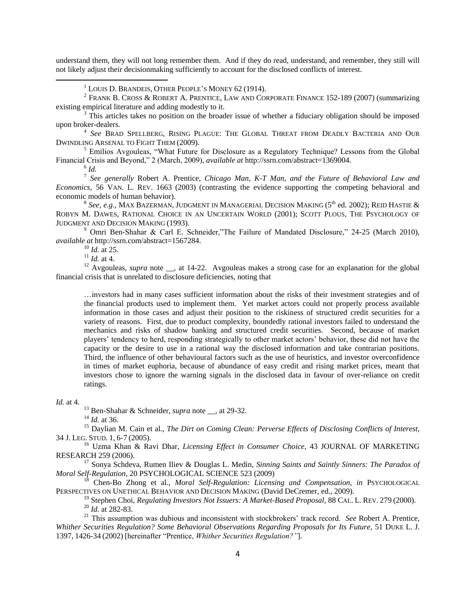understand them, they will not long remember them. And if they do read, understand, and remember, they still will not likely adjust their decisionmaking sufficiently to account for the disclosed conflicts of interest.

 $3$  This articles takes no position on the broader issue of whether a fiduciary obligation should be imposed upon broker-dealers.

4 *See* BRAD SPELLBERG, RISING PLAGUE: THE GLOBAL THREAT FROM DEADLY BACTERIA AND OUR DWINDLING ARSENAL TO FIGHT THEM (2009).

<sup>5</sup> Emilios Avgouleas, "What Future for Disclosure as a Regulatory Technique? Lessons from the Global Financial Crisis and Beyond," 2 (March, 2009), *available at* http://ssrn.com/abstract=1369004.

 $\overline{\phantom{a}}$ 

6 *Id.* 7 *See generally* Robert A. Prentice, *Chicago Man, K-T Man, and the Future of Behavioral Law and Economics,* 56 VAN. L. REV. 1663 (2003) (contrasting the evidence supporting the competing behavioral and economic models of human behavior).

 $^8$  *See, e.g., <code>Max Bazerman,</code> Judgment in Managerial Decision Making (5th ed. 2002); Reid Hastie &* ROBYN M. DAWES, RATIONAL CHOICE IN AN UNCERTAIN WORLD (2001); SCOTT PLOUS, THE PSYCHOLOGY OF JUDGMENT AND DECISION MAKING (1993).

<sup>9</sup> Omri Ben-Shahar & Carl E. Schneider,"The Failure of Mandated Disclosure," 24-25 (March 2010), *available at* http://ssrn.com/abstract=1567284.

 $^{10}$  *Id.* at 25.

<sup>11</sup> *Id.* at 4.

<sup>12</sup> Avgouleas, *supra* note <sub>\_\_</sub>, at 14-22. Avgouleas makes a strong case for an explanation for the global financial crisis that is unrelated to disclosure deficiencies, noting that

…investors had in many cases sufficient information about the risks of their investment strategies and of the financial products used to implement them. Yet market actors could not properly process available information in those cases and adjust their position to the riskiness of structured credit securities for a variety of reasons. First, due to product complexity, boundedly rational investors failed to understand the mechanics and risks of shadow banking and structured credit securities. Second, because of market players' tendency to herd, responding strategically to other market actors' behavior, these did not have the capacity or the desire to use in a rational way the disclosed information and take contrarian positions. Third, the influence of other behavioural factors such as the use of heuristics, and investor overconfidence in times of market euphoria, because of abundance of easy credit and rising market prices, meant that investors chose to ignore the warning signals in the disclosed data in favour of over-reliance on credit ratings.

*Id.* at 4.

<sup>13</sup> Ben-Shahar & Schneider, *supra* note \_\_, at 29-32.

<sup>14</sup> *Id.* at 36.

<sup>15</sup> Daylian M. Cain et al., *The Dirt on Coming Clean: Perverse Effects of Disclosing Conflicts of Interest,* 34 J. LEG. STUD. 1, 6-7 (2005).

<sup>16</sup> Uzma Khan & Ravi Dhar, *Licensing Effect in Consumer Choice*, 43 JOURNAL OF MARKETING RESEARCH 259 (2006).

<sup>17</sup> Sonya Schdeva, Rumen Iliev & Douglas L. Medin, *Sinning Saints and Saintly Sinners: The Paradox of Moral Self-Regulation*, 20 PSYCHOLOGICAL SCIENCE 523 (2009)

<sup>18</sup> Chen-Bo Zhong et al., *Moral Self-Regulation: Licensing and Compensation*, *in* PSYCHOLOGICAL PERSPECTIVES ON UNETHICAL BEHAVIOR AND DECISION MAKING (David DeCremer, ed., 2009).

<sup>19</sup> Stephen Choi, *Regulating Investors Not Issuers: A Market-Based Proposal*, 88 CAL. L. REV. 279 (2000). <sup>20</sup> *Id.* at 282-83.

<sup>21</sup> This assumption was dubious and inconsistent with stockbrokers' track record. *See* Robert A. Prentice, *Whither Securities Regulation? Some Behavioral Observations Regarding Proposals for Its Future,* 51 DUKE L. J. 1397, 1426-34 (2002) [hereinafter "Prentice, *Whither Securities Regulation?"*].

<sup>&</sup>lt;sup>1</sup> LOUIS D. BRANDEIS, OTHER PEOPLE'S MONEY 62 (1914).

<sup>&</sup>lt;sup>2</sup> FRANK B. CROSS & ROBERT A. PRENTICE, LAW AND CORPORATE FINANCE 152-189 (2007) (summarizing existing empirical literature and adding modestly to it.